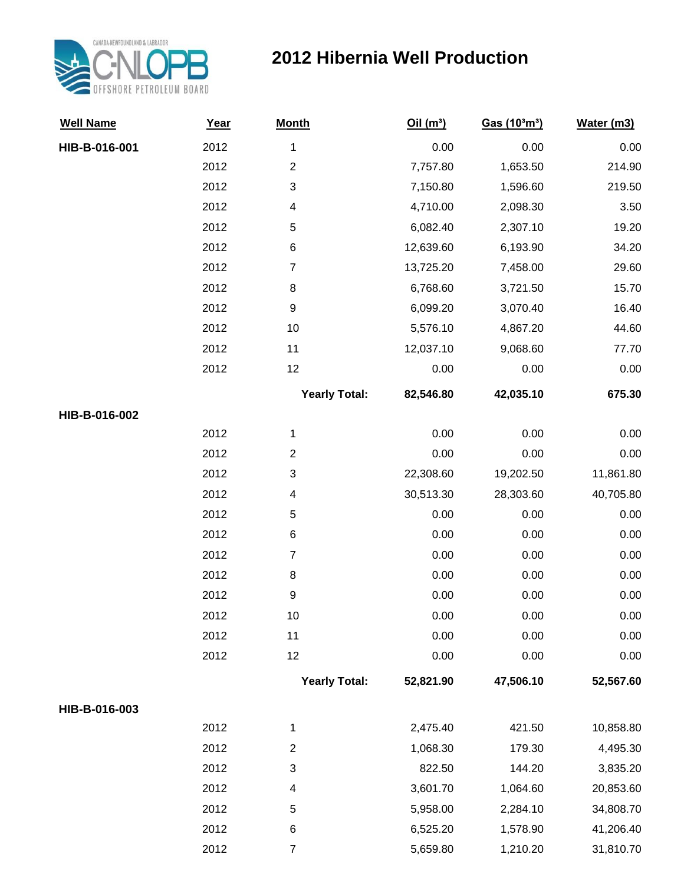

## **2012 Hibernia Well Production**

| <b>Well Name</b> | Year | <b>Month</b>         | Oil(m <sup>3</sup> ) | Gas (10 <sup>3</sup> m <sup>3</sup> ) | Water (m3) |
|------------------|------|----------------------|----------------------|---------------------------------------|------------|
| HIB-B-016-001    | 2012 | $\mathbf 1$          | 0.00                 | 0.00                                  | 0.00       |
|                  | 2012 | $\overline{c}$       | 7,757.80             | 1,653.50                              | 214.90     |
|                  | 2012 | 3                    | 7,150.80             | 1,596.60                              | 219.50     |
|                  | 2012 | 4                    | 4,710.00             | 2,098.30                              | 3.50       |
|                  | 2012 | 5                    | 6,082.40             | 2,307.10                              | 19.20      |
|                  | 2012 | 6                    | 12,639.60            | 6,193.90                              | 34.20      |
|                  | 2012 | $\overline{7}$       | 13,725.20            | 7,458.00                              | 29.60      |
|                  | 2012 | 8                    | 6,768.60             | 3,721.50                              | 15.70      |
|                  | 2012 | $\boldsymbol{9}$     | 6,099.20             | 3,070.40                              | 16.40      |
|                  | 2012 | 10                   | 5,576.10             | 4,867.20                              | 44.60      |
|                  | 2012 | 11                   | 12,037.10            | 9,068.60                              | 77.70      |
|                  | 2012 | 12                   | 0.00                 | 0.00                                  | 0.00       |
|                  |      | <b>Yearly Total:</b> | 82,546.80            | 42,035.10                             | 675.30     |
| HIB-B-016-002    |      |                      |                      |                                       |            |
|                  | 2012 | 1                    | 0.00                 | 0.00                                  | 0.00       |
|                  | 2012 | $\overline{c}$       | 0.00                 | 0.00                                  | 0.00       |
|                  | 2012 | 3                    | 22,308.60            | 19,202.50                             | 11,861.80  |
|                  | 2012 | 4                    | 30,513.30            | 28,303.60                             | 40,705.80  |
|                  | 2012 | 5                    | 0.00                 | $0.00\,$                              | 0.00       |
|                  | 2012 | 6                    | 0.00                 | 0.00                                  | 0.00       |
|                  | 2012 | $\overline{7}$       | 0.00                 | 0.00                                  | 0.00       |
|                  | 2012 | 8                    | 0.00                 | 0.00                                  | 0.00       |
|                  | 2012 | 9                    | 0.00                 | 0.00                                  | 0.00       |
|                  | 2012 | 10                   | 0.00                 | 0.00                                  | 0.00       |
|                  | 2012 | 11                   | 0.00                 | 0.00                                  | 0.00       |
|                  | 2012 | 12                   | 0.00                 | 0.00                                  | 0.00       |
|                  |      | <b>Yearly Total:</b> | 52,821.90            | 47,506.10                             | 52,567.60  |
| HIB-B-016-003    |      |                      |                      |                                       |            |
|                  | 2012 | 1                    | 2,475.40             | 421.50                                | 10,858.80  |
|                  | 2012 | $\overline{c}$       | 1,068.30             | 179.30                                | 4,495.30   |
|                  | 2012 | 3                    | 822.50               | 144.20                                | 3,835.20   |
|                  | 2012 | 4                    | 3,601.70             | 1,064.60                              | 20,853.60  |
|                  | 2012 | 5                    | 5,958.00             | 2,284.10                              | 34,808.70  |
|                  | 2012 | 6                    | 6,525.20             | 1,578.90                              | 41,206.40  |
|                  | 2012 | $\overline{7}$       | 5,659.80             | 1,210.20                              | 31,810.70  |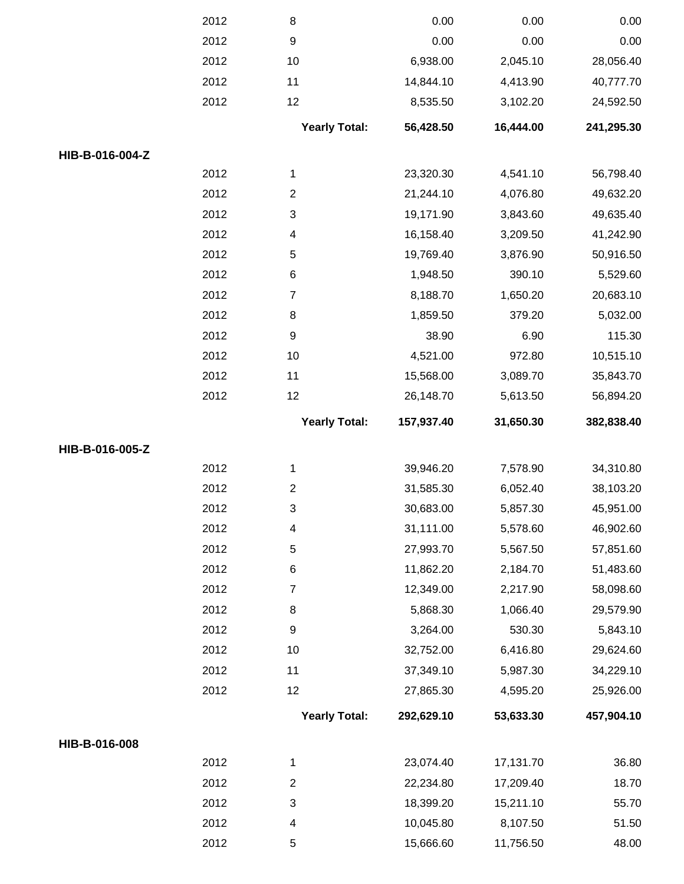|                 | 2012 | 8                        | 0.00       | 0.00      | 0.00       |
|-----------------|------|--------------------------|------------|-----------|------------|
|                 | 2012 | $\boldsymbol{9}$         | 0.00       | 0.00      | 0.00       |
|                 | 2012 | 10                       | 6,938.00   | 2,045.10  | 28,056.40  |
|                 | 2012 | 11                       | 14,844.10  | 4,413.90  | 40,777.70  |
|                 | 2012 | 12                       | 8,535.50   | 3,102.20  | 24,592.50  |
|                 |      | <b>Yearly Total:</b>     | 56,428.50  | 16,444.00 | 241,295.30 |
| HIB-B-016-004-Z |      |                          |            |           |            |
|                 | 2012 | $\mathbf 1$              | 23,320.30  | 4,541.10  | 56,798.40  |
|                 | 2012 | $\overline{2}$           | 21,244.10  | 4,076.80  | 49,632.20  |
|                 | 2012 | 3                        | 19,171.90  | 3,843.60  | 49,635.40  |
|                 | 2012 | 4                        | 16,158.40  | 3,209.50  | 41,242.90  |
|                 | 2012 | $\mathbf 5$              | 19,769.40  | 3,876.90  | 50,916.50  |
|                 | 2012 | $\,6$                    | 1,948.50   | 390.10    | 5,529.60   |
|                 | 2012 | $\overline{\mathcal{I}}$ | 8,188.70   | 1,650.20  | 20,683.10  |
|                 | 2012 | 8                        | 1,859.50   | 379.20    | 5,032.00   |
|                 | 2012 | $\boldsymbol{9}$         | 38.90      | 6.90      | 115.30     |
|                 | 2012 | 10                       | 4,521.00   | 972.80    | 10,515.10  |
|                 | 2012 | 11                       | 15,568.00  | 3,089.70  | 35,843.70  |
|                 | 2012 | 12                       | 26,148.70  | 5,613.50  | 56,894.20  |
|                 |      | <b>Yearly Total:</b>     | 157,937.40 | 31,650.30 | 382,838.40 |
| HIB-B-016-005-Z |      |                          |            |           |            |
|                 | 2012 | $\mathbf 1$              | 39,946.20  | 7,578.90  | 34,310.80  |
|                 | 2012 | $\overline{2}$           | 31,585.30  | 6,052.40  | 38,103.20  |
|                 | 2012 | 3                        | 30,683.00  | 5,857.30  | 45,951.00  |
|                 | 2012 | $\overline{\mathcal{A}}$ | 31,111.00  | 5,578.60  | 46,902.60  |
|                 | 2012 | 5                        | 27,993.70  | 5,567.50  | 57,851.60  |
|                 | 2012 | 6                        | 11,862.20  | 2,184.70  | 51,483.60  |
|                 | 2012 | $\boldsymbol{7}$         | 12,349.00  | 2,217.90  | 58,098.60  |
|                 | 2012 | 8                        | 5,868.30   | 1,066.40  | 29,579.90  |
|                 | 2012 | $\boldsymbol{9}$         | 3,264.00   | 530.30    | 5,843.10   |
|                 | 2012 | 10                       | 32,752.00  | 6,416.80  | 29,624.60  |
|                 | 2012 | 11                       | 37,349.10  | 5,987.30  | 34,229.10  |
|                 | 2012 | 12                       | 27,865.30  | 4,595.20  | 25,926.00  |
|                 |      | <b>Yearly Total:</b>     | 292,629.10 | 53,633.30 | 457,904.10 |
| HIB-B-016-008   |      |                          |            |           |            |
|                 | 2012 | $\mathbf{1}$             | 23,074.40  | 17,131.70 | 36.80      |
|                 | 2012 | $\overline{2}$           | 22,234.80  | 17,209.40 | 18.70      |
|                 |      |                          |            |           |            |
|                 | 2012 | $\sqrt{3}$               | 18,399.20  | 15,211.10 | 55.70      |
|                 | 2012 | 4                        | 10,045.80  | 8,107.50  | 51.50      |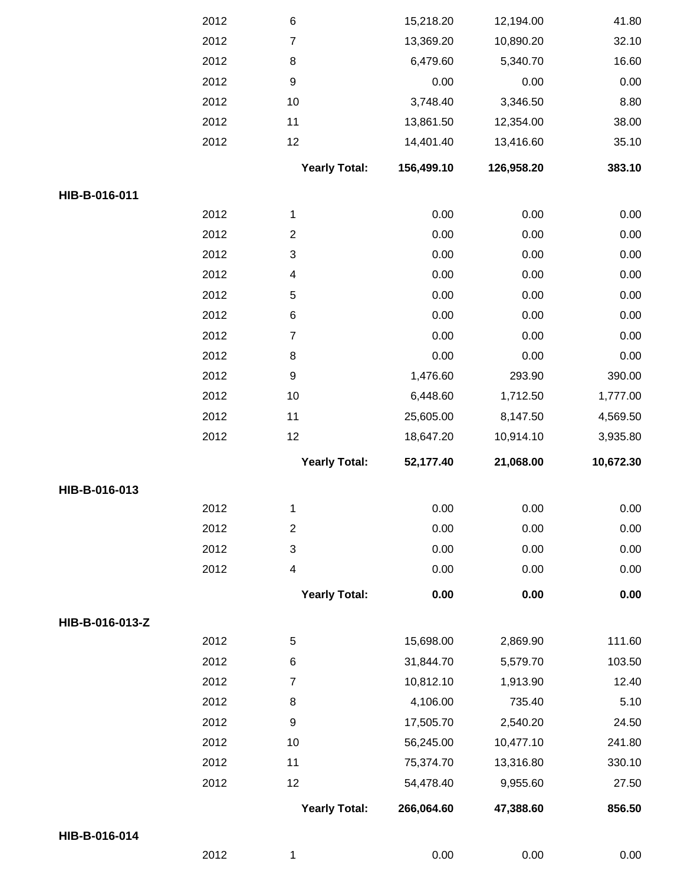|                 | 2012 | $\,6$                   | 15,218.20  | 12,194.00  | 41.80     |
|-----------------|------|-------------------------|------------|------------|-----------|
|                 | 2012 | $\overline{7}$          | 13,369.20  | 10,890.20  | 32.10     |
|                 | 2012 | 8                       | 6,479.60   | 5,340.70   | 16.60     |
|                 | 2012 | $\boldsymbol{9}$        | 0.00       | 0.00       | 0.00      |
|                 | 2012 | 10                      | 3,748.40   | 3,346.50   | 8.80      |
|                 | 2012 | 11                      | 13,861.50  | 12,354.00  | 38.00     |
|                 | 2012 | 12                      | 14,401.40  | 13,416.60  | 35.10     |
|                 |      | <b>Yearly Total:</b>    | 156,499.10 | 126,958.20 | 383.10    |
| HIB-B-016-011   |      |                         |            |            |           |
|                 | 2012 | $\mathbf{1}$            | 0.00       | 0.00       | 0.00      |
|                 | 2012 | $\overline{2}$          | 0.00       | 0.00       | 0.00      |
|                 | 2012 | $\mathsf 3$             | 0.00       | 0.00       | 0.00      |
|                 | 2012 | $\overline{4}$          | 0.00       | 0.00       | 0.00      |
|                 | 2012 | $\sqrt{5}$              | 0.00       | 0.00       | 0.00      |
|                 | 2012 | 6                       | 0.00       | 0.00       | 0.00      |
|                 | 2012 | $\overline{7}$          | 0.00       | 0.00       | 0.00      |
|                 | 2012 | 8                       | 0.00       | 0.00       | 0.00      |
|                 | 2012 | $\boldsymbol{9}$        | 1,476.60   | 293.90     | 390.00    |
|                 | 2012 | 10                      | 6,448.60   | 1,712.50   | 1,777.00  |
|                 | 2012 | 11                      | 25,605.00  | 8,147.50   | 4,569.50  |
|                 | 2012 | 12                      | 18,647.20  | 10,914.10  | 3,935.80  |
|                 |      | <b>Yearly Total:</b>    | 52,177.40  | 21,068.00  | 10,672.30 |
| HIB-B-016-013   |      |                         |            |            |           |
|                 | 2012 | 1                       | 0.00       | 0.00       | 0.00      |
|                 | 2012 | $\overline{2}$          | 0.00       | 0.00       | 0.00      |
|                 | 2012 | $\mathsf 3$             | 0.00       | 0.00       | 0.00      |
|                 | 2012 | $\overline{\mathbf{4}}$ | 0.00       | 0.00       | 0.00      |
|                 |      | <b>Yearly Total:</b>    | 0.00       | 0.00       | 0.00      |
| HIB-B-016-013-Z |      |                         |            |            |           |
|                 | 2012 | 5                       | 15,698.00  | 2,869.90   | 111.60    |
|                 | 2012 | $\,6$                   | 31,844.70  | 5,579.70   | 103.50    |
|                 | 2012 | $\overline{7}$          | 10,812.10  | 1,913.90   | 12.40     |
|                 | 2012 | 8                       | 4,106.00   | 735.40     | 5.10      |
|                 | 2012 | 9                       | 17,505.70  | 2,540.20   | 24.50     |
|                 | 2012 | 10                      | 56,245.00  | 10,477.10  | 241.80    |
|                 | 2012 | 11                      | 75,374.70  | 13,316.80  | 330.10    |
|                 | 2012 | 12                      | 54,478.40  | 9,955.60   | 27.50     |
|                 |      | <b>Yearly Total:</b>    | 266,064.60 | 47,388.60  | 856.50    |
| HIB-B-016-014   |      |                         |            |            |           |
|                 | 2012 | 1                       | 0.00       | 0.00       | 0.00      |
|                 |      |                         |            |            |           |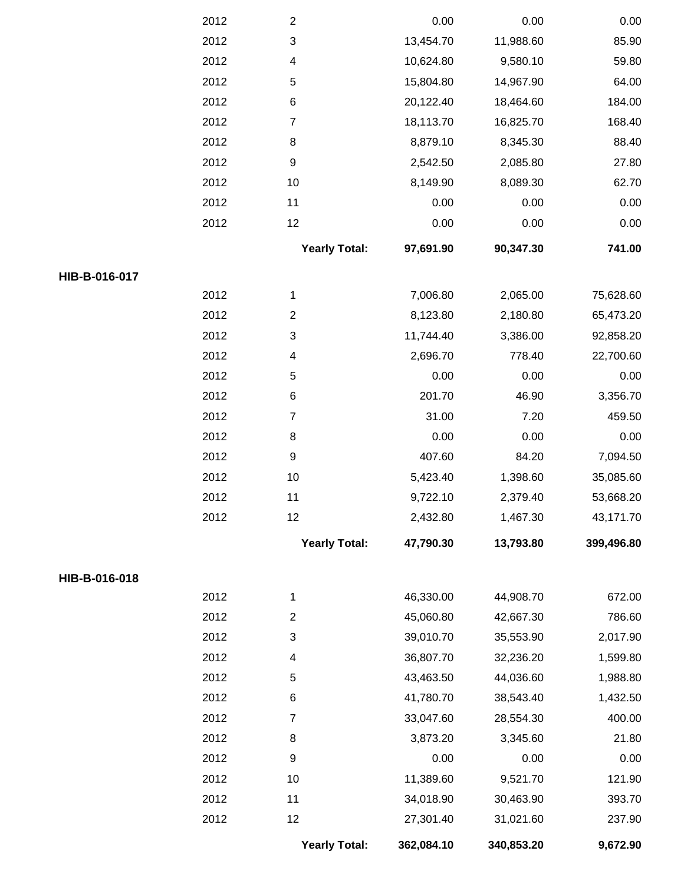|               | 2012 | $\overline{c}$            | 0.00       | 0.00       | 0.00       |
|---------------|------|---------------------------|------------|------------|------------|
|               | 2012 | $\ensuremath{\mathsf{3}}$ | 13,454.70  | 11,988.60  | 85.90      |
|               | 2012 | 4                         | 10,624.80  | 9,580.10   | 59.80      |
|               | 2012 | $\mathbf 5$               | 15,804.80  | 14,967.90  | 64.00      |
|               | 2012 | $\,6$                     | 20,122.40  | 18,464.60  | 184.00     |
|               | 2012 | $\overline{7}$            | 18,113.70  | 16,825.70  | 168.40     |
|               | 2012 | 8                         | 8,879.10   | 8,345.30   | 88.40      |
|               | 2012 | $\boldsymbol{9}$          | 2,542.50   | 2,085.80   | 27.80      |
|               | 2012 | 10                        | 8,149.90   | 8,089.30   | 62.70      |
|               | 2012 | 11                        | 0.00       | 0.00       | 0.00       |
|               | 2012 | 12                        | 0.00       | 0.00       | 0.00       |
|               |      | <b>Yearly Total:</b>      | 97,691.90  | 90,347.30  | 741.00     |
| HIB-B-016-017 |      |                           |            |            |            |
|               | 2012 | $\mathbf{1}$              | 7,006.80   | 2,065.00   | 75,628.60  |
|               | 2012 | $\overline{2}$            | 8,123.80   | 2,180.80   | 65,473.20  |
|               | 2012 | $\ensuremath{\mathsf{3}}$ | 11,744.40  | 3,386.00   | 92,858.20  |
|               | 2012 | 4                         | 2,696.70   | 778.40     | 22,700.60  |
|               | 2012 | $\mathbf 5$               | 0.00       | 0.00       | 0.00       |
|               | 2012 | $\,6$                     | 201.70     | 46.90      | 3,356.70   |
|               | 2012 | $\boldsymbol{7}$          | 31.00      | 7.20       | 459.50     |
|               | 2012 | 8                         | 0.00       | 0.00       | 0.00       |
|               | 2012 | $\boldsymbol{9}$          | 407.60     | 84.20      | 7,094.50   |
|               | 2012 | 10                        | 5,423.40   | 1,398.60   | 35,085.60  |
|               | 2012 | 11                        | 9,722.10   | 2,379.40   | 53,668.20  |
|               | 2012 | 12                        | 2,432.80   | 1,467.30   | 43,171.70  |
|               |      | <b>Yearly Total:</b>      | 47,790.30  | 13,793.80  | 399,496.80 |
| HIB-B-016-018 |      |                           |            |            |            |
|               | 2012 | $\mathbf 1$               | 46,330.00  | 44,908.70  | 672.00     |
|               | 2012 | $\boldsymbol{2}$          | 45,060.80  | 42,667.30  | 786.60     |
|               | 2012 | $\ensuremath{\mathsf{3}}$ | 39,010.70  | 35,553.90  | 2,017.90   |
|               | 2012 | 4                         | 36,807.70  | 32,236.20  | 1,599.80   |
|               | 2012 | 5                         | 43,463.50  | 44,036.60  | 1,988.80   |
|               | 2012 | $\,6$                     | 41,780.70  | 38,543.40  | 1,432.50   |
|               | 2012 | $\overline{7}$            | 33,047.60  | 28,554.30  | 400.00     |
|               | 2012 | 8                         | 3,873.20   | 3,345.60   | 21.80      |
|               | 2012 | $\boldsymbol{9}$          | 0.00       | 0.00       | 0.00       |
|               | 2012 | 10                        | 11,389.60  | 9,521.70   | 121.90     |
|               | 2012 | 11                        | 34,018.90  | 30,463.90  | 393.70     |
|               | 2012 | 12                        | 27,301.40  | 31,021.60  | 237.90     |
|               |      | <b>Yearly Total:</b>      | 362,084.10 | 340,853.20 | 9,672.90   |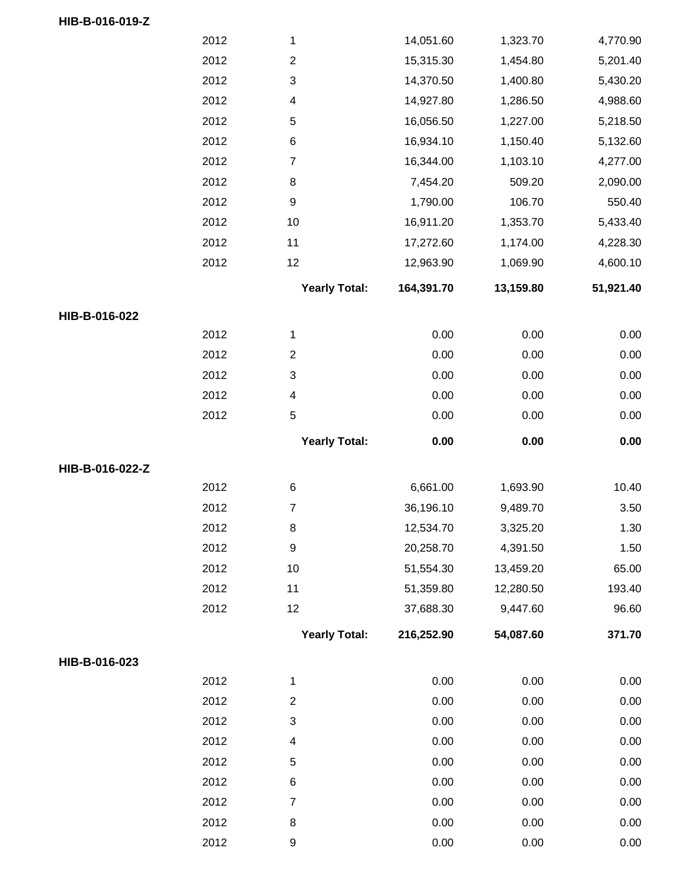|                 | 2012 | $\mathbf{1}$              | 14,051.60  | 1,323.70  | 4,770.90  |
|-----------------|------|---------------------------|------------|-----------|-----------|
|                 | 2012 | $\boldsymbol{2}$          | 15,315.30  | 1,454.80  | 5,201.40  |
|                 | 2012 | $\ensuremath{\mathsf{3}}$ | 14,370.50  | 1,400.80  | 5,430.20  |
|                 | 2012 | 4                         | 14,927.80  | 1,286.50  | 4,988.60  |
|                 | 2012 | $\mathbf 5$               | 16,056.50  | 1,227.00  | 5,218.50  |
|                 | 2012 | $\,6$                     | 16,934.10  | 1,150.40  | 5,132.60  |
|                 | 2012 | $\boldsymbol{7}$          | 16,344.00  | 1,103.10  | 4,277.00  |
|                 | 2012 | $\,8\,$                   | 7,454.20   | 509.20    | 2,090.00  |
|                 | 2012 | $\boldsymbol{9}$          | 1,790.00   | 106.70    | 550.40    |
|                 | 2012 | 10                        | 16,911.20  | 1,353.70  | 5,433.40  |
|                 | 2012 | 11                        | 17,272.60  | 1,174.00  | 4,228.30  |
|                 | 2012 | 12                        | 12,963.90  | 1,069.90  | 4,600.10  |
|                 |      | <b>Yearly Total:</b>      | 164,391.70 | 13,159.80 | 51,921.40 |
| HIB-B-016-022   |      |                           |            |           |           |
|                 | 2012 | $\mathbf{1}$              | 0.00       | 0.00      | 0.00      |
|                 | 2012 | $\boldsymbol{2}$          | 0.00       | 0.00      | 0.00      |
|                 | 2012 | $\ensuremath{\mathsf{3}}$ | 0.00       | 0.00      | 0.00      |
|                 | 2012 | $\overline{\mathbf{4}}$   | 0.00       | 0.00      | 0.00      |
|                 | 2012 | $\mathbf 5$               | 0.00       | 0.00      | 0.00      |
|                 |      | <b>Yearly Total:</b>      | 0.00       | 0.00      | 0.00      |
| HIB-B-016-022-Z |      |                           |            |           |           |
|                 | 2012 | $\,6$                     | 6,661.00   | 1,693.90  | 10.40     |
|                 | 2012 | $\overline{\mathcal{I}}$  | 36,196.10  | 9,489.70  | 3.50      |
|                 | 2012 | 8                         | 12,534.70  | 3,325.20  | 1.30      |
|                 | 2012 | $\boldsymbol{9}$          | 20,258.70  | 4,391.50  | 1.50      |
|                 | 2012 | 10                        | 51,554.30  | 13,459.20 | 65.00     |
|                 | 2012 | 11                        | 51,359.80  | 12,280.50 | 193.40    |
|                 | 2012 | 12                        | 37,688.30  | 9,447.60  | 96.60     |
|                 |      | <b>Yearly Total:</b>      | 216,252.90 | 54,087.60 | 371.70    |
| HIB-B-016-023   |      |                           |            |           |           |
|                 | 2012 | $\mathbf 1$               | 0.00       | 0.00      | 0.00      |
|                 | 2012 | $\overline{c}$            | 0.00       | 0.00      | 0.00      |
|                 | 2012 | $\ensuremath{\mathsf{3}}$ | 0.00       | 0.00      | 0.00      |
|                 | 2012 | 4                         | 0.00       | 0.00      | 0.00      |
|                 | 2012 | $\mathbf 5$               | 0.00       | 0.00      | 0.00      |
|                 | 2012 | $\,6$                     | 0.00       | 0.00      | 0.00      |
|                 | 2012 | $\overline{7}$            | 0.00       | 0.00      | 0.00      |
|                 | 2012 | $\,8\,$                   | 0.00       | 0.00      | 0.00      |
|                 | 2012 | $\boldsymbol{9}$          | 0.00       | 0.00      | 0.00      |

**HIB-B-016-019-Z**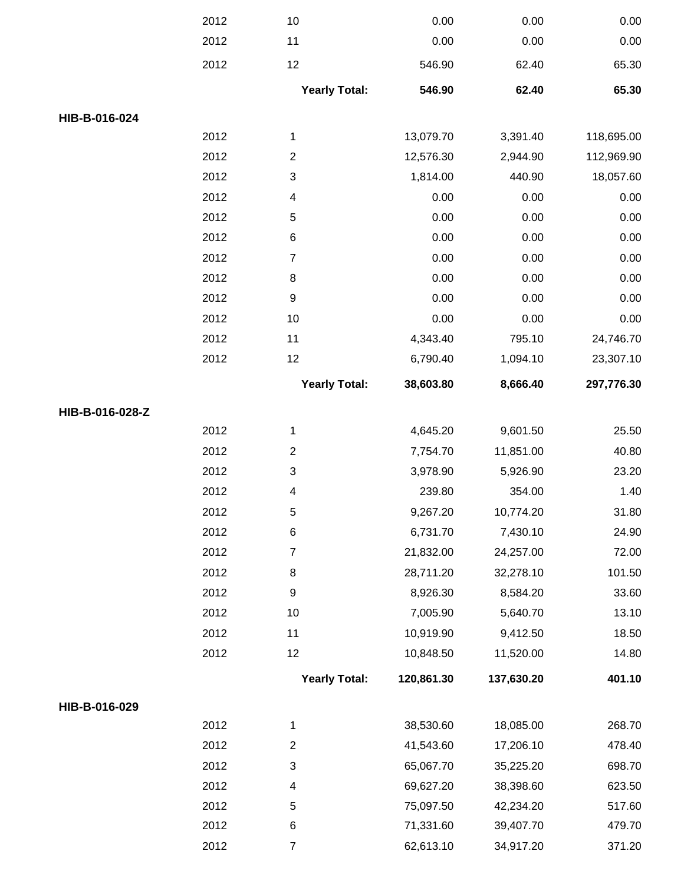|                 | 2012 | 10                        | 0.00       | 0.00       | 0.00       |
|-----------------|------|---------------------------|------------|------------|------------|
|                 | 2012 | 11                        | 0.00       | 0.00       | 0.00       |
|                 | 2012 | 12                        | 546.90     | 62.40      | 65.30      |
|                 |      | <b>Yearly Total:</b>      | 546.90     | 62.40      | 65.30      |
| HIB-B-016-024   |      |                           |            |            |            |
|                 | 2012 | 1                         | 13,079.70  | 3,391.40   | 118,695.00 |
|                 | 2012 | $\overline{2}$            | 12,576.30  | 2,944.90   | 112,969.90 |
|                 | 2012 | $\ensuremath{\mathsf{3}}$ | 1,814.00   | 440.90     | 18,057.60  |
|                 | 2012 | $\overline{\mathcal{A}}$  | 0.00       | 0.00       | 0.00       |
|                 | 2012 | $\mathbf 5$               | 0.00       | 0.00       | 0.00       |
|                 | 2012 | 6                         | 0.00       | 0.00       | 0.00       |
|                 | 2012 | $\overline{7}$            | 0.00       | 0.00       | 0.00       |
|                 | 2012 | 8                         | 0.00       | 0.00       | 0.00       |
|                 | 2012 | $\boldsymbol{9}$          | 0.00       | 0.00       | 0.00       |
|                 | 2012 | 10                        | 0.00       | 0.00       | 0.00       |
|                 | 2012 | 11                        | 4,343.40   | 795.10     | 24,746.70  |
|                 | 2012 | 12                        | 6,790.40   | 1,094.10   | 23,307.10  |
|                 |      | <b>Yearly Total:</b>      | 38,603.80  | 8,666.40   | 297,776.30 |
| HIB-B-016-028-Z |      |                           |            |            |            |
|                 | 2012 | $\mathbf{1}$              | 4,645.20   | 9,601.50   | 25.50      |
|                 | 2012 | $\boldsymbol{2}$          | 7,754.70   | 11,851.00  | 40.80      |
|                 | 2012 | $\ensuremath{\mathsf{3}}$ | 3,978.90   | 5,926.90   | 23.20      |
|                 | 2012 | 4                         | 239.80     | 354.00     | 1.40       |
|                 | 2012 | 5                         | 9,267.20   | 10,774.20  | 31.80      |
|                 | 2012 | 6                         | 6,731.70   | 7,430.10   | 24.90      |
|                 | 2012 | 7                         | 21,832.00  | 24,257.00  | 72.00      |
|                 | 2012 | 8                         | 28,711.20  | 32,278.10  | 101.50     |
|                 | 2012 | 9                         | 8,926.30   | 8,584.20   | 33.60      |
|                 | 2012 | 10                        | 7,005.90   | 5,640.70   | 13.10      |
|                 | 2012 | 11                        | 10,919.90  | 9,412.50   | 18.50      |
|                 | 2012 | 12                        | 10,848.50  | 11,520.00  | 14.80      |
|                 |      | <b>Yearly Total:</b>      | 120,861.30 | 137,630.20 | 401.10     |
| HIB-B-016-029   |      |                           |            |            |            |
|                 | 2012 | 1                         | 38,530.60  | 18,085.00  | 268.70     |
|                 | 2012 | $\overline{c}$            | 41,543.60  | 17,206.10  | 478.40     |
|                 | 2012 | 3                         | 65,067.70  | 35,225.20  | 698.70     |
|                 | 2012 | 4                         | 69,627.20  | 38,398.60  | 623.50     |
|                 | 2012 | 5                         | 75,097.50  | 42,234.20  | 517.60     |
|                 | 2012 | 6                         | 71,331.60  | 39,407.70  | 479.70     |
|                 | 2012 | $\overline{7}$            | 62,613.10  | 34,917.20  | 371.20     |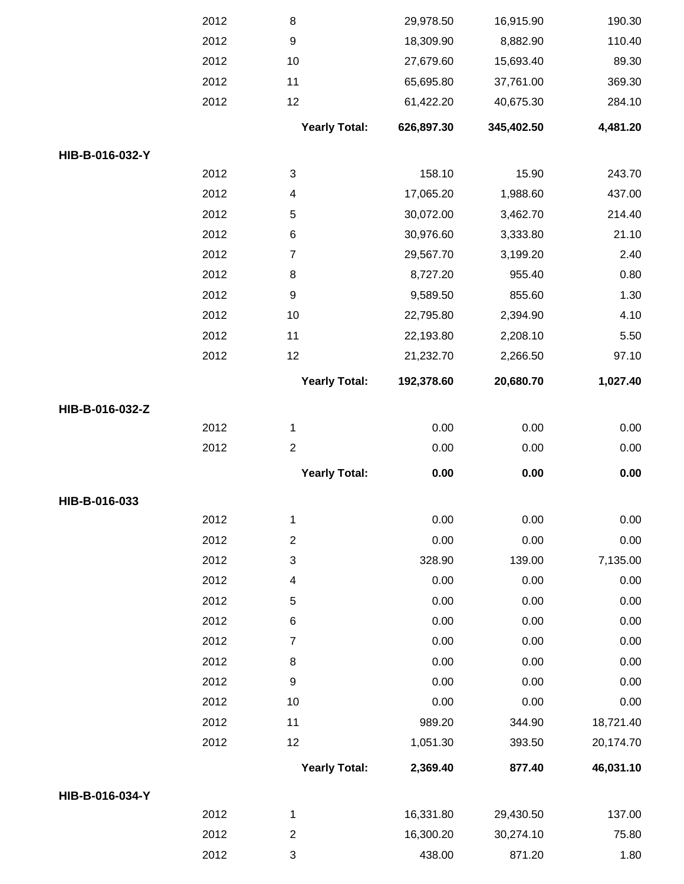|                 | 2012 | 8                         | 29,978.50  | 16,915.90  | 190.30    |
|-----------------|------|---------------------------|------------|------------|-----------|
|                 | 2012 | $\boldsymbol{9}$          | 18,309.90  | 8,882.90   | 110.40    |
|                 | 2012 | 10                        | 27,679.60  | 15,693.40  | 89.30     |
|                 | 2012 | 11                        | 65,695.80  | 37,761.00  | 369.30    |
|                 | 2012 | 12                        | 61,422.20  | 40,675.30  | 284.10    |
|                 |      | <b>Yearly Total:</b>      | 626,897.30 | 345,402.50 | 4,481.20  |
| HIB-B-016-032-Y |      |                           |            |            |           |
|                 | 2012 | $\ensuremath{\mathsf{3}}$ | 158.10     | 15.90      | 243.70    |
|                 | 2012 | 4                         | 17,065.20  | 1,988.60   | 437.00    |
|                 | 2012 | 5                         | 30,072.00  | 3,462.70   | 214.40    |
|                 | 2012 | 6                         | 30,976.60  | 3,333.80   | 21.10     |
|                 | 2012 | $\overline{7}$            | 29,567.70  | 3,199.20   | 2.40      |
|                 | 2012 | 8                         | 8,727.20   | 955.40     | 0.80      |
|                 | 2012 | $\boldsymbol{9}$          | 9,589.50   | 855.60     | 1.30      |
|                 | 2012 | 10                        | 22,795.80  | 2,394.90   | 4.10      |
|                 | 2012 | 11                        | 22,193.80  | 2,208.10   | 5.50      |
|                 | 2012 | 12                        | 21,232.70  | 2,266.50   | 97.10     |
|                 |      | <b>Yearly Total:</b>      | 192,378.60 | 20,680.70  | 1,027.40  |
| HIB-B-016-032-Z |      |                           |            |            |           |
|                 | 2012 | 1                         | 0.00       | 0.00       | 0.00      |
|                 | 2012 | $\overline{c}$            | 0.00       | 0.00       | 0.00      |
|                 |      | <b>Yearly Total:</b>      | 0.00       | 0.00       | 0.00      |
| HIB-B-016-033   |      |                           |            |            |           |
|                 | 2012 | 1                         | 0.00       | 0.00       | 0.00      |
|                 | 2012 | $\overline{c}$            | 0.00       | 0.00       | 0.00      |
|                 | 2012 | 3                         | 328.90     | 139.00     | 7,135.00  |
|                 | 2012 | 4                         | 0.00       | 0.00       | 0.00      |
|                 | 2012 | $\mathbf 5$               | 0.00       | 0.00       | 0.00      |
|                 | 2012 | $\,6$                     | 0.00       | 0.00       | 0.00      |
|                 | 2012 | $\overline{7}$            | 0.00       | 0.00       | 0.00      |
|                 | 2012 | 8                         | 0.00       | 0.00       | 0.00      |
|                 | 2012 | $\boldsymbol{9}$          | 0.00       | 0.00       | 0.00      |
|                 | 2012 | 10                        | 0.00       | 0.00       | 0.00      |
|                 | 2012 | 11                        | 989.20     | 344.90     | 18,721.40 |
|                 | 2012 | 12                        | 1,051.30   | 393.50     | 20,174.70 |
|                 |      | <b>Yearly Total:</b>      | 2,369.40   | 877.40     | 46,031.10 |
| HIB-B-016-034-Y |      |                           |            |            |           |
|                 | 2012 | 1                         | 16,331.80  | 29,430.50  | 137.00    |
|                 | 2012 | $\overline{c}$            | 16,300.20  | 30,274.10  | 75.80     |
|                 | 2012 | 3                         | 438.00     | 871.20     | 1.80      |
|                 |      |                           |            |            |           |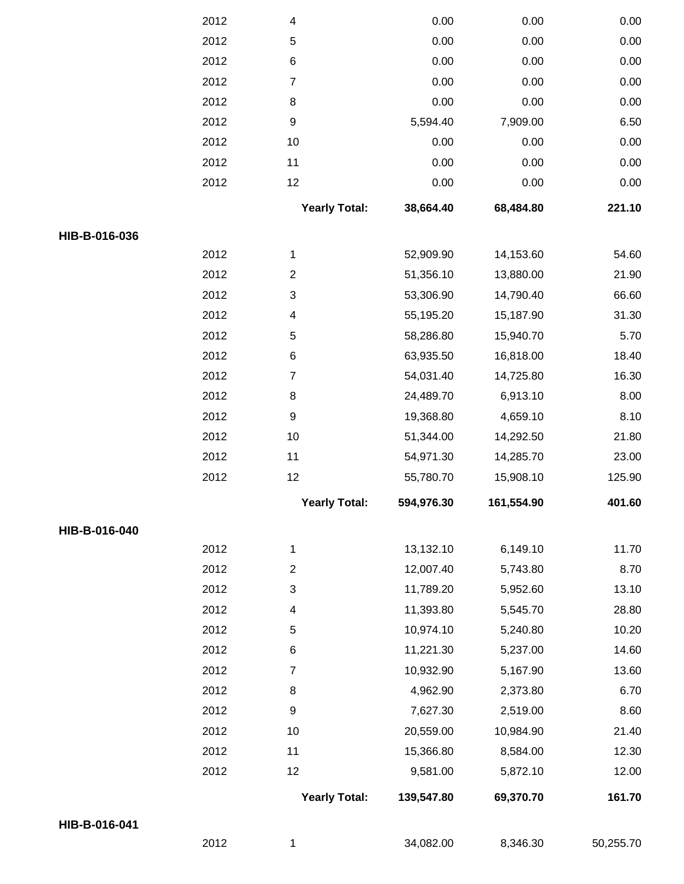|               | 2012 | 4                         | 0.00       | 0.00       | 0.00      |
|---------------|------|---------------------------|------------|------------|-----------|
|               | 2012 | 5                         | 0.00       | 0.00       | 0.00      |
|               | 2012 | $\,6$                     | 0.00       | 0.00       | 0.00      |
|               | 2012 | $\overline{7}$            | 0.00       | 0.00       | 0.00      |
|               | 2012 | 8                         | 0.00       | 0.00       | 0.00      |
|               | 2012 | $\boldsymbol{9}$          | 5,594.40   | 7,909.00   | 6.50      |
|               | 2012 | 10                        | 0.00       | 0.00       | 0.00      |
|               | 2012 | 11                        | 0.00       | 0.00       | 0.00      |
|               | 2012 | 12                        | 0.00       | 0.00       | 0.00      |
|               |      | <b>Yearly Total:</b>      | 38,664.40  | 68,484.80  | 221.10    |
| HIB-B-016-036 |      |                           |            |            |           |
|               | 2012 | $\mathbf{1}$              | 52,909.90  | 14,153.60  | 54.60     |
|               | 2012 | $\mathbf{2}$              | 51,356.10  | 13,880.00  | 21.90     |
|               | 2012 | $\ensuremath{\mathsf{3}}$ | 53,306.90  | 14,790.40  | 66.60     |
|               | 2012 | 4                         | 55,195.20  | 15,187.90  | 31.30     |
|               | 2012 | 5                         | 58,286.80  | 15,940.70  | 5.70      |
|               | 2012 | $\,6$                     | 63,935.50  | 16,818.00  | 18.40     |
|               | 2012 | $\overline{7}$            | 54,031.40  | 14,725.80  | 16.30     |
|               | 2012 | 8                         | 24,489.70  | 6,913.10   | 8.00      |
|               | 2012 | $\boldsymbol{9}$          | 19,368.80  | 4,659.10   | 8.10      |
|               | 2012 | 10                        | 51,344.00  | 14,292.50  | 21.80     |
|               | 2012 | 11                        | 54,971.30  | 14,285.70  | 23.00     |
|               | 2012 | 12                        | 55,780.70  | 15,908.10  | 125.90    |
|               |      | <b>Yearly Total:</b>      | 594,976.30 | 161,554.90 | 401.60    |
| HIB-B-016-040 |      |                           |            |            |           |
|               | 2012 | $\mathbf{1}$              | 13,132.10  | 6,149.10   | 11.70     |
|               | 2012 | $\overline{2}$            | 12,007.40  | 5,743.80   | 8.70      |
|               | 2012 | $\ensuremath{\mathsf{3}}$ | 11,789.20  | 5,952.60   | 13.10     |
|               | 2012 | 4                         | 11,393.80  | 5,545.70   | 28.80     |
|               | 2012 | 5                         | 10,974.10  | 5,240.80   | 10.20     |
|               | 2012 | 6                         | 11,221.30  | 5,237.00   | 14.60     |
|               | 2012 | $\boldsymbol{7}$          | 10,932.90  | 5,167.90   | 13.60     |
|               | 2012 | 8                         | 4,962.90   | 2,373.80   | 6.70      |
|               | 2012 | $\boldsymbol{9}$          | 7,627.30   | 2,519.00   | 8.60      |
|               | 2012 | 10                        | 20,559.00  | 10,984.90  | 21.40     |
|               | 2012 | 11                        | 15,366.80  | 8,584.00   | 12.30     |
|               | 2012 | 12                        | 9,581.00   | 5,872.10   | 12.00     |
|               |      | <b>Yearly Total:</b>      | 139,547.80 | 69,370.70  | 161.70    |
| HIB-B-016-041 |      |                           |            |            |           |
|               | 2012 | 1                         | 34,082.00  | 8,346.30   | 50,255.70 |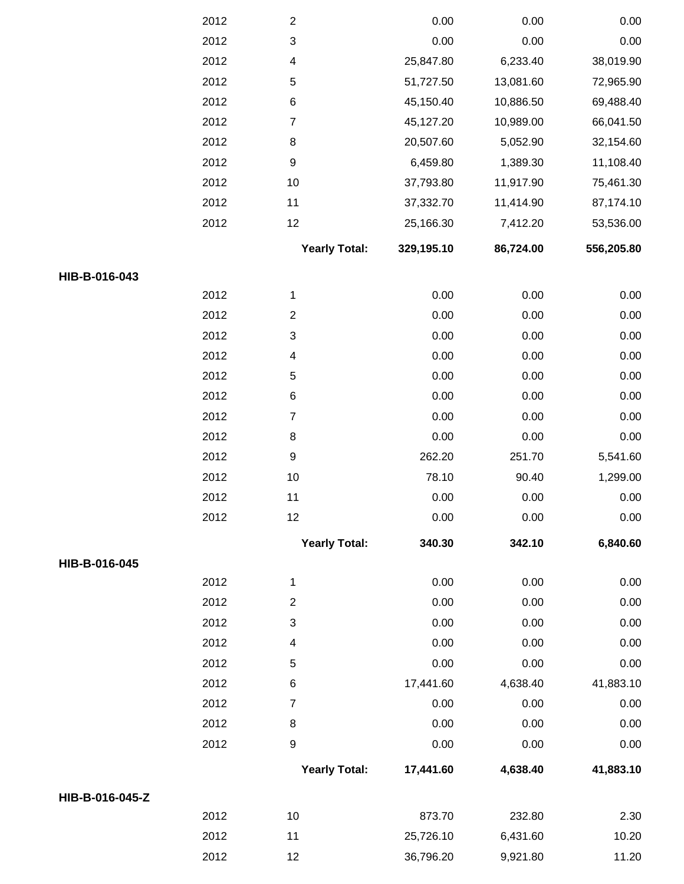|                 | 2012         | $\boldsymbol{2}$                            | 0.00         | 0.00         | 0.00         |
|-----------------|--------------|---------------------------------------------|--------------|--------------|--------------|
|                 | 2012         | $\mathbf{3}$                                | 0.00         | 0.00         | 0.00         |
|                 | 2012         | 4                                           | 25,847.80    | 6,233.40     | 38,019.90    |
|                 | 2012         | $\mathbf 5$                                 | 51,727.50    | 13,081.60    | 72,965.90    |
|                 | 2012         | $\,6$                                       | 45,150.40    | 10,886.50    | 69,488.40    |
|                 | 2012         | $\boldsymbol{7}$                            | 45,127.20    | 10,989.00    | 66,041.50    |
|                 | 2012         | $\,8\,$                                     | 20,507.60    | 5,052.90     | 32,154.60    |
|                 | 2012         | $\boldsymbol{9}$                            | 6,459.80     | 1,389.30     | 11,108.40    |
|                 | 2012         | $10$                                        | 37,793.80    | 11,917.90    | 75,461.30    |
|                 | 2012         | 11                                          | 37,332.70    | 11,414.90    | 87,174.10    |
|                 | 2012         | 12                                          | 25,166.30    | 7,412.20     | 53,536.00    |
|                 |              | <b>Yearly Total:</b>                        | 329,195.10   | 86,724.00    | 556,205.80   |
| HIB-B-016-043   |              |                                             |              |              |              |
|                 | 2012         | $\mathbf{1}$                                | 0.00         | 0.00         | 0.00         |
|                 | 2012         | $\overline{c}$                              | 0.00         | 0.00         | 0.00         |
|                 | 2012         | $\ensuremath{\mathsf{3}}$                   | 0.00         | 0.00         | 0.00         |
|                 | 2012         | $\overline{\mathcal{A}}$                    | 0.00         | 0.00         | 0.00         |
|                 | 2012         | $\mathbf 5$                                 | 0.00         | 0.00         | 0.00         |
|                 | 2012         | $\,6$                                       | 0.00         | 0.00         | 0.00         |
|                 | 2012         | $\overline{\mathbf{7}}$                     | 0.00         | 0.00         | 0.00         |
|                 | 2012         | $\,8\,$                                     | 0.00         | 0.00         | 0.00         |
|                 | 2012         | $\boldsymbol{9}$                            | 262.20       | 251.70       | 5,541.60     |
|                 | 2012         | $10$                                        | 78.10        | 90.40        | 1,299.00     |
|                 | 2012         | 11                                          | 0.00         | 0.00         | 0.00         |
|                 | 2012         | $12 \overline{ }$                           | 0.00         | 0.00         | 0.00         |
|                 |              | <b>Yearly Total:</b>                        | 340.30       | 342.10       | 6,840.60     |
| HIB-B-016-045   |              |                                             |              |              |              |
|                 | 2012         | $\mathbf{1}$                                | 0.00         | 0.00         | 0.00         |
|                 | 2012<br>2012 | $\overline{2}$<br>$\ensuremath{\mathsf{3}}$ | 0.00<br>0.00 | 0.00<br>0.00 | 0.00<br>0.00 |
|                 | 2012         | 4                                           | 0.00         | 0.00         | 0.00         |
|                 | 2012         | 5                                           | 0.00         | 0.00         | 0.00         |
|                 | 2012         | 6                                           | 17,441.60    | 4,638.40     | 41,883.10    |
|                 | 2012         | $\overline{7}$                              | 0.00         | 0.00         | 0.00         |
|                 | 2012         | $\bf 8$                                     | 0.00         | 0.00         | 0.00         |
|                 | 2012         | $\boldsymbol{9}$                            | 0.00         | 0.00         | 0.00         |
|                 |              |                                             |              |              |              |
|                 |              | <b>Yearly Total:</b>                        | 17,441.60    | 4,638.40     | 41,883.10    |
| HIB-B-016-045-Z |              |                                             |              |              |              |
|                 | 2012         | 10                                          | 873.70       | 232.80       | 2.30         |
|                 | 2012         | 11                                          | 25,726.10    | 6,431.60     | 10.20        |
|                 | 2012         | 12                                          | 36,796.20    | 9,921.80     | 11.20        |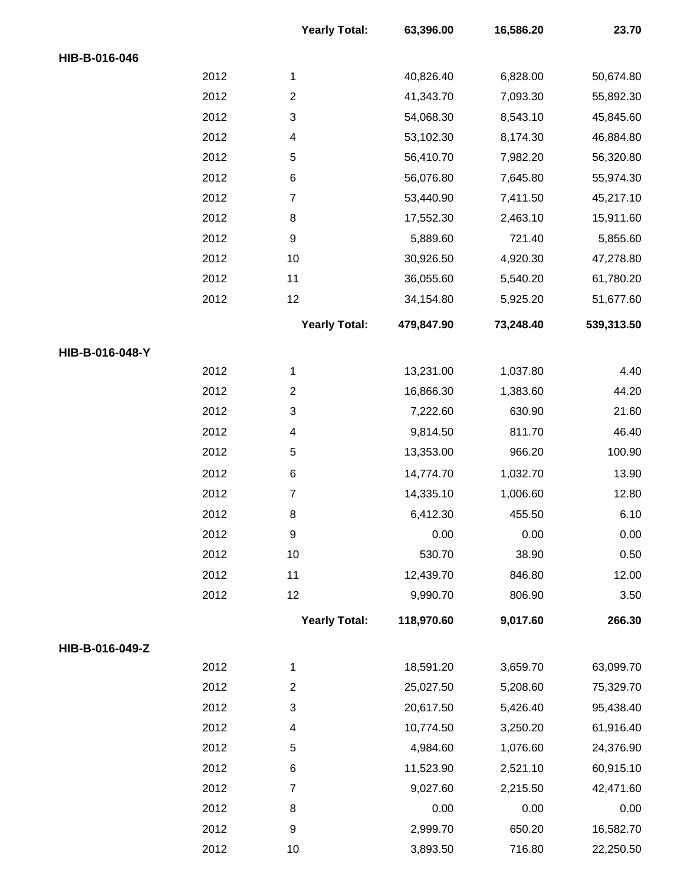|                 |      | <b>Yearly Total:</b>      | 63,396.00  | 16,586.20 | 23.70      |
|-----------------|------|---------------------------|------------|-----------|------------|
| HIB-B-016-046   |      |                           |            |           |            |
|                 | 2012 | 1                         | 40,826.40  | 6,828.00  | 50,674.80  |
|                 | 2012 | $\boldsymbol{2}$          | 41,343.70  | 7,093.30  | 55,892.30  |
|                 | 2012 | $\ensuremath{\mathsf{3}}$ | 54,068.30  | 8,543.10  | 45,845.60  |
|                 | 2012 | 4                         | 53,102.30  | 8,174.30  | 46,884.80  |
|                 | 2012 | $\mathbf 5$               | 56,410.70  | 7,982.20  | 56,320.80  |
|                 | 2012 | 6                         | 56,076.80  | 7,645.80  | 55,974.30  |
|                 | 2012 | $\boldsymbol{7}$          | 53,440.90  | 7,411.50  | 45,217.10  |
|                 | 2012 | 8                         | 17,552.30  | 2,463.10  | 15,911.60  |
|                 | 2012 | $\boldsymbol{9}$          | 5,889.60   | 721.40    | 5,855.60   |
|                 | 2012 | 10                        | 30,926.50  | 4,920.30  | 47,278.80  |
|                 | 2012 | 11                        | 36,055.60  | 5,540.20  | 61,780.20  |
|                 | 2012 | 12                        | 34,154.80  | 5,925.20  | 51,677.60  |
|                 |      | <b>Yearly Total:</b>      | 479,847.90 | 73,248.40 | 539,313.50 |
| HIB-B-016-048-Y |      |                           |            |           |            |
|                 | 2012 | 1                         | 13,231.00  | 1,037.80  | 4.40       |
|                 | 2012 | $\boldsymbol{2}$          | 16,866.30  | 1,383.60  | 44.20      |
|                 | 2012 | 3                         | 7,222.60   | 630.90    | 21.60      |
|                 | 2012 | 4                         | 9,814.50   | 811.70    | 46.40      |
|                 | 2012 | 5                         | 13,353.00  | 966.20    | 100.90     |
|                 | 2012 | $\,6$                     | 14,774.70  | 1,032.70  | 13.90      |
|                 | 2012 | $\overline{7}$            | 14,335.10  | 1,006.60  | 12.80      |
|                 | 2012 | 8                         | 6,412.30   | 455.50    | 6.10       |
|                 | 2012 | $\boldsymbol{9}$          | 0.00       | 0.00      | 0.00       |
|                 | 2012 | 10                        | 530.70     | 38.90     | 0.50       |
|                 | 2012 | 11                        | 12,439.70  | 846.80    | 12.00      |
|                 | 2012 | 12                        | 9,990.70   | 806.90    | 3.50       |
|                 |      | <b>Yearly Total:</b>      | 118,970.60 | 9,017.60  | 266.30     |
| HIB-B-016-049-Z |      |                           |            |           |            |
|                 | 2012 | $\mathbf{1}$              | 18,591.20  | 3,659.70  | 63,099.70  |
|                 | 2012 | $\overline{c}$            | 25,027.50  | 5,208.60  | 75,329.70  |
|                 | 2012 | $\ensuremath{\mathsf{3}}$ | 20,617.50  | 5,426.40  | 95,438.40  |
|                 | 2012 | 4                         | 10,774.50  | 3,250.20  | 61,916.40  |
|                 | 2012 | 5                         | 4,984.60   | 1,076.60  | 24,376.90  |
|                 | 2012 | 6                         | 11,523.90  | 2,521.10  | 60,915.10  |
|                 | 2012 | $\overline{7}$            | 9,027.60   | 2,215.50  | 42,471.60  |
|                 | 2012 | 8                         | 0.00       | 0.00      | 0.00       |
|                 | 2012 | $\boldsymbol{9}$          | 2,999.70   | 650.20    | 16,582.70  |
|                 | 2012 | $10$                      | 3,893.50   | 716.80    | 22,250.50  |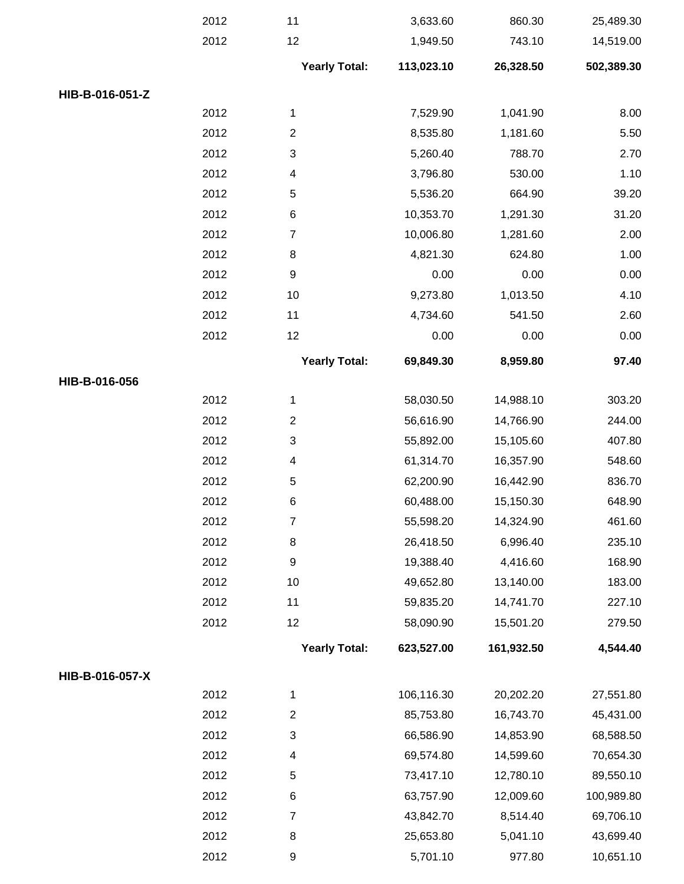|                 | 2012 | 11                        | 3,633.60   | 860.30     | 25,489.30  |
|-----------------|------|---------------------------|------------|------------|------------|
|                 | 2012 | 12                        | 1,949.50   | 743.10     | 14,519.00  |
|                 |      | <b>Yearly Total:</b>      | 113,023.10 | 26,328.50  | 502,389.30 |
| HIB-B-016-051-Z |      |                           |            |            |            |
|                 | 2012 | 1                         | 7,529.90   | 1,041.90   | 8.00       |
|                 | 2012 | $\mathbf{2}$              | 8,535.80   | 1,181.60   | 5.50       |
|                 | 2012 | $\mathfrak{S}$            | 5,260.40   | 788.70     | 2.70       |
|                 | 2012 | $\overline{4}$            | 3,796.80   | 530.00     | 1.10       |
|                 | 2012 | 5                         | 5,536.20   | 664.90     | 39.20      |
|                 | 2012 | 6                         | 10,353.70  | 1,291.30   | 31.20      |
|                 | 2012 | $\overline{7}$            | 10,006.80  | 1,281.60   | 2.00       |
|                 | 2012 | 8                         | 4,821.30   | 624.80     | 1.00       |
|                 | 2012 | $\boldsymbol{9}$          | 0.00       | 0.00       | 0.00       |
|                 | 2012 | 10                        | 9,273.80   | 1,013.50   | 4.10       |
|                 | 2012 | 11                        | 4,734.60   | 541.50     | 2.60       |
|                 | 2012 | 12                        | 0.00       | 0.00       | 0.00       |
|                 |      | <b>Yearly Total:</b>      | 69,849.30  | 8,959.80   | 97.40      |
| HIB-B-016-056   |      |                           |            |            |            |
|                 | 2012 | 1                         | 58,030.50  | 14,988.10  | 303.20     |
|                 | 2012 | $\overline{2}$            | 56,616.90  | 14,766.90  | 244.00     |
|                 | 2012 | $\mathfrak{S}$            | 55,892.00  | 15,105.60  | 407.80     |
|                 | 2012 | $\overline{4}$            | 61,314.70  | 16,357.90  | 548.60     |
|                 | 2012 | $\mathbf 5$               | 62,200.90  | 16,442.90  | 836.70     |
|                 | 2012 | 6                         | 60,488.00  | 15,150.30  | 648.90     |
|                 | 2012 | $\overline{7}$            | 55,598.20  | 14,324.90  | 461.60     |
|                 | 2012 | 8                         | 26,418.50  | 6,996.40   | 235.10     |
|                 | 2012 | 9                         | 19,388.40  | 4,416.60   | 168.90     |
|                 | 2012 | 10                        | 49,652.80  | 13,140.00  | 183.00     |
|                 | 2012 | 11                        | 59,835.20  | 14,741.70  | 227.10     |
|                 | 2012 | 12                        | 58,090.90  | 15,501.20  | 279.50     |
|                 |      | <b>Yearly Total:</b>      | 623,527.00 | 161,932.50 | 4,544.40   |
| HIB-B-016-057-X |      |                           |            |            |            |
|                 | 2012 | 1                         | 106,116.30 | 20,202.20  | 27,551.80  |
|                 | 2012 | $\overline{2}$            | 85,753.80  | 16,743.70  | 45,431.00  |
|                 | 2012 | $\ensuremath{\mathsf{3}}$ | 66,586.90  | 14,853.90  | 68,588.50  |
|                 | 2012 | 4                         | 69,574.80  | 14,599.60  | 70,654.30  |
|                 | 2012 | 5                         | 73,417.10  | 12,780.10  | 89,550.10  |
|                 | 2012 | 6                         | 63,757.90  | 12,009.60  | 100,989.80 |
|                 | 2012 | $\overline{7}$            | 43,842.70  | 8,514.40   | 69,706.10  |
|                 | 2012 | 8                         | 25,653.80  | 5,041.10   | 43,699.40  |
|                 | 2012 | 9                         | 5,701.10   | 977.80     | 10,651.10  |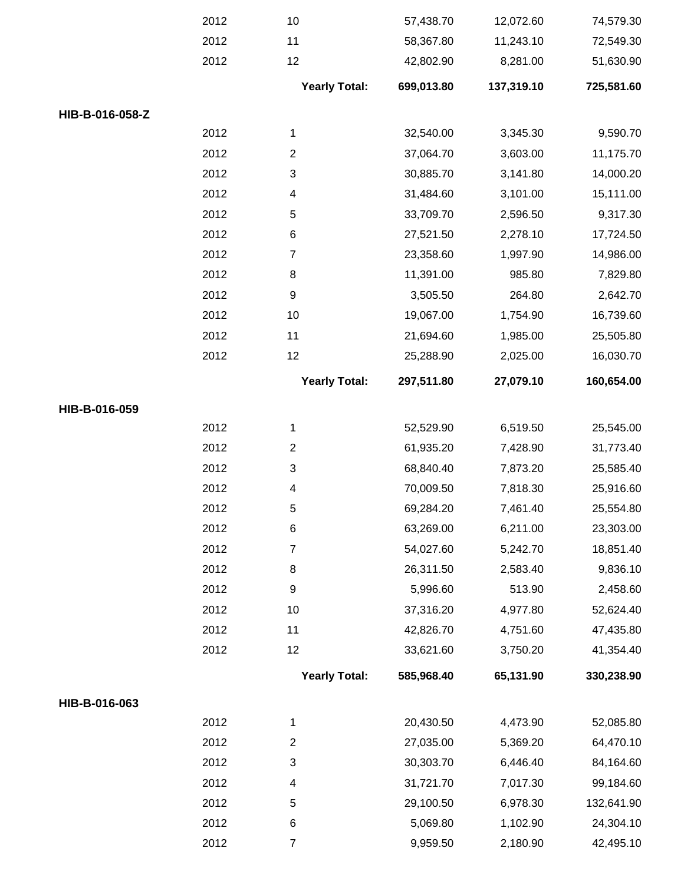|                 | 2012 | 10                   | 57,438.70  | 12,072.60  | 74,579.30  |
|-----------------|------|----------------------|------------|------------|------------|
|                 | 2012 | 11                   | 58,367.80  | 11,243.10  | 72,549.30  |
|                 | 2012 | 12                   | 42,802.90  | 8,281.00   | 51,630.90  |
|                 |      | <b>Yearly Total:</b> | 699,013.80 | 137,319.10 | 725,581.60 |
| HIB-B-016-058-Z |      |                      |            |            |            |
|                 | 2012 | $\mathbf{1}$         | 32,540.00  | 3,345.30   | 9,590.70   |
|                 | 2012 | $\overline{2}$       | 37,064.70  | 3,603.00   | 11,175.70  |
|                 | 2012 | 3                    | 30,885.70  | 3,141.80   | 14,000.20  |
|                 | 2012 | 4                    | 31,484.60  | 3,101.00   | 15,111.00  |
|                 | 2012 | 5                    | 33,709.70  | 2,596.50   | 9,317.30   |
|                 | 2012 | $\,6$                | 27,521.50  | 2,278.10   | 17,724.50  |
|                 | 2012 | $\overline{7}$       | 23,358.60  | 1,997.90   | 14,986.00  |
|                 | 2012 | $\,8\,$              | 11,391.00  | 985.80     | 7,829.80   |
|                 | 2012 | $\boldsymbol{9}$     | 3,505.50   | 264.80     | 2,642.70   |
|                 | 2012 | 10                   | 19,067.00  | 1,754.90   | 16,739.60  |
|                 | 2012 | 11                   | 21,694.60  | 1,985.00   | 25,505.80  |
|                 | 2012 | 12                   | 25,288.90  | 2,025.00   | 16,030.70  |
|                 |      | <b>Yearly Total:</b> | 297,511.80 | 27,079.10  | 160,654.00 |
| HIB-B-016-059   |      |                      |            |            |            |
|                 | 2012 | 1                    | 52,529.90  | 6,519.50   | 25,545.00  |
|                 | 2012 | $\overline{c}$       | 61,935.20  | 7,428.90   | 31,773.40  |
|                 | 2012 | 3                    | 68,840.40  | 7,873.20   | 25,585.40  |
|                 | 2012 | 4                    | 70,009.50  | 7,818.30   | 25,916.60  |
|                 | 2012 | 5                    | 69,284.20  | 7,461.40   | 25,554.80  |
|                 | 2012 | $\,6$                | 63,269.00  | 6,211.00   | 23,303.00  |
|                 | 2012 | $\overline{7}$       | 54,027.60  | 5,242.70   | 18,851.40  |
|                 | 2012 | 8                    | 26,311.50  | 2,583.40   | 9,836.10   |
|                 | 2012 | $\boldsymbol{9}$     | 5,996.60   | 513.90     | 2,458.60   |
|                 | 2012 | 10                   | 37,316.20  | 4,977.80   | 52,624.40  |
|                 | 2012 | 11                   | 42,826.70  | 4,751.60   | 47,435.80  |
|                 | 2012 | 12                   | 33,621.60  | 3,750.20   | 41,354.40  |
|                 |      | <b>Yearly Total:</b> | 585,968.40 | 65,131.90  | 330,238.90 |
| HIB-B-016-063   |      |                      |            |            |            |
|                 | 2012 | 1                    | 20,430.50  | 4,473.90   | 52,085.80  |
|                 | 2012 | $\overline{2}$       | 27,035.00  | 5,369.20   | 64,470.10  |
|                 | 2012 | 3                    | 30,303.70  | 6,446.40   | 84,164.60  |
|                 | 2012 | 4                    | 31,721.70  | 7,017.30   | 99,184.60  |
|                 | 2012 | 5                    | 29,100.50  | 6,978.30   | 132,641.90 |
|                 | 2012 | 6                    | 5,069.80   | 1,102.90   | 24,304.10  |
|                 | 2012 | $\overline{7}$       | 9,959.50   | 2,180.90   | 42,495.10  |